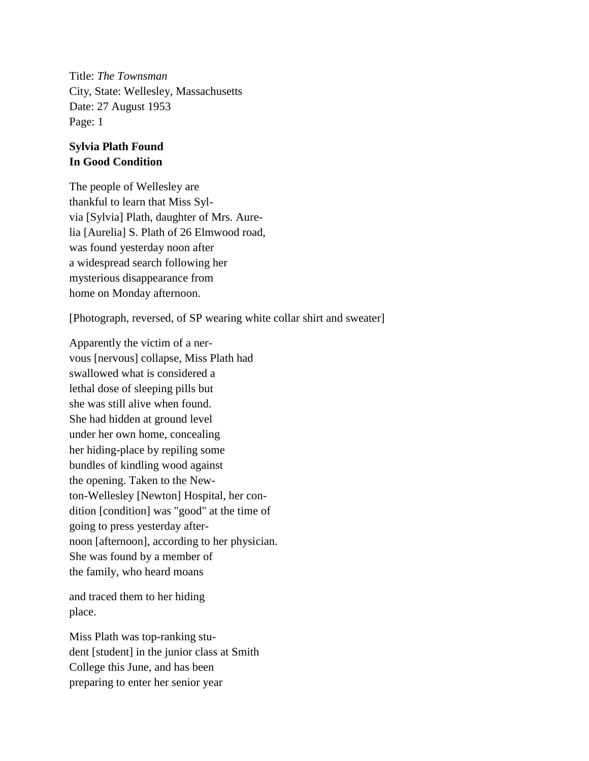Title: *The Townsman* City, State: Wellesley, Massachusetts Date: 27 August 1953 Page: 1

## **Sylvia Plath Found In Good Condition**

The people of Wellesley are thankful to learn that Miss Sylvia [Sylvia] Plath, daughter of Mrs. Aurelia [Aurelia] S. Plath of 26 Elmwood road, was found yesterday noon after a widespread search following her mysterious disappearance from home on Monday afternoon.

[Photograph, reversed, of SP wearing white collar shirt and sweater]

Apparently the victim of a nervous [nervous] collapse, Miss Plath had swallowed what is considered a lethal dose of sleeping pills but she was still alive when found. She had hidden at ground level under her own home, concealing her hiding-place by repiling some bundles of kindling wood against the opening. Taken to the Newton-Wellesley [Newton] Hospital, her condition [condition] was "good" at the time of going to press yesterday afternoon [afternoon], according to her physician. She was found by a member of the family, who heard moans

and traced them to her hiding place.

Miss Plath was top-ranking student [student] in the junior class at Smith College this June, and has been preparing to enter her senior year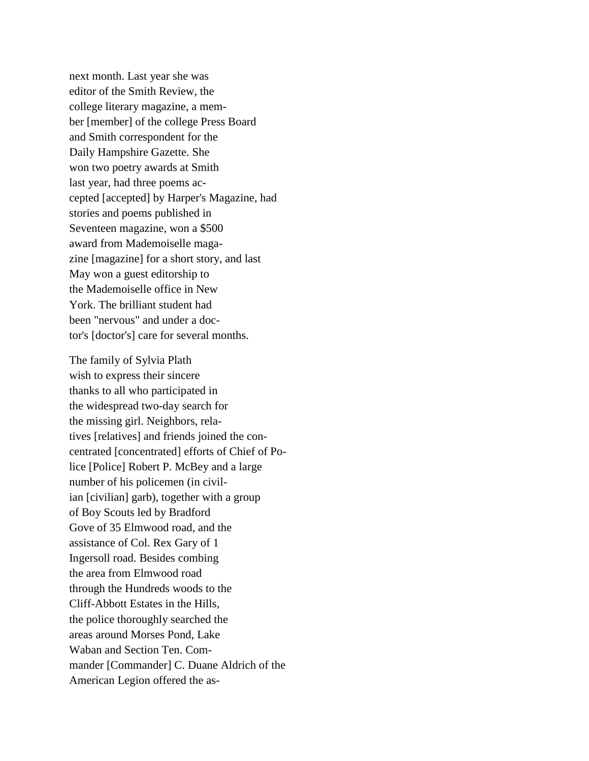next month. Last year she was editor of the Smith Review, the college literary magazine, a member [member] of the college Press Board and Smith correspondent for the Daily Hampshire Gazette. She won two poetry awards at Smith last year, had three poems accepted [accepted] by Harper's Magazine, had stories and poems published in Seventeen magazine, won a \$500 award from Mademoiselle magazine [magazine] for a short story, and last May won a guest editorship to the Mademoiselle office in New York. The brilliant student had been "nervous" and under a doctor's [doctor's] care for several months.

The family of Sylvia Plath wish to express their sincere thanks to all who participated in the widespread two-day search for the missing girl. Neighbors, relatives [relatives] and friends joined the concentrated [concentrated] efforts of Chief of Police [Police] Robert P. McBey and a large number of his policemen (in civilian [civilian] garb), together with a group of Boy Scouts led by Bradford Gove of 35 Elmwood road, and the assistance of Col. Rex Gary of 1 Ingersoll road. Besides combing the area from Elmwood road through the Hundreds woods to the Cliff-Abbott Estates in the Hills, the police thoroughly searched the areas around Morses Pond, Lake Waban and Section Ten. Commander [Commander] C. Duane Aldrich of the American Legion offered the as